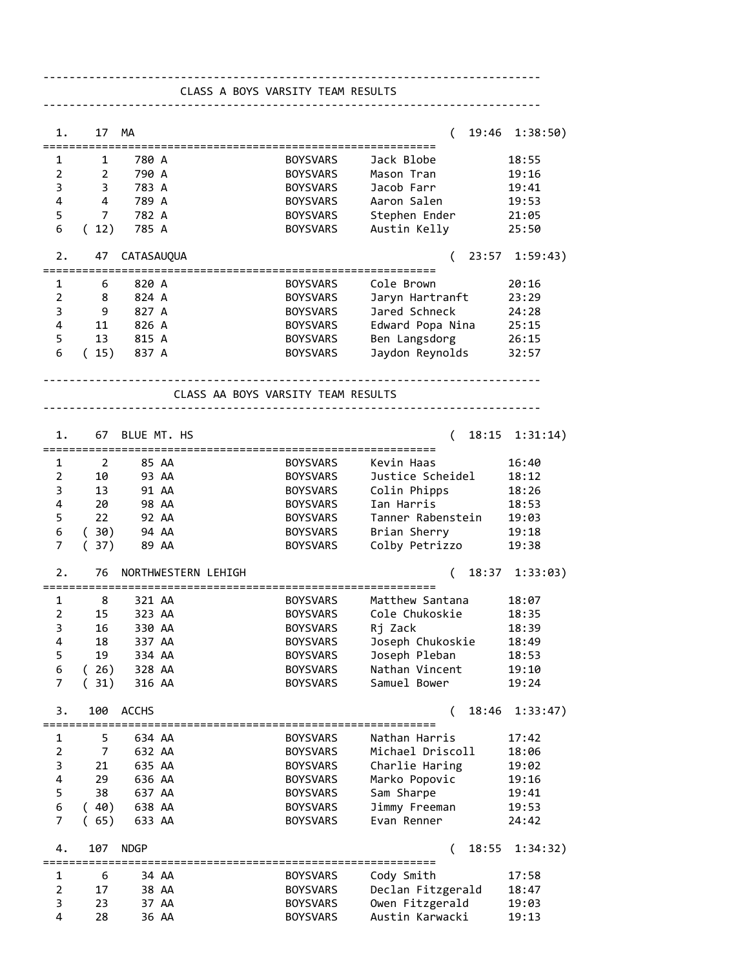| 19:46 1:38:50)<br>17 MA<br>1.<br>$\left($<br>:==================<br>780 A<br><b>BOYSVARS</b><br>Jack Blobe<br>18:55<br>1<br>1<br>$\overline{2}$<br>2<br>790 A<br><b>BOYSVARS</b><br>Mason Tran<br>19:16<br>783 A<br>3<br>$\overline{\phantom{a}}$ 3<br>Jacob Farr<br><b>BOYSVARS</b><br>19:41<br>$\overline{4}$<br>Aaron Salen<br>4<br>789 A<br><b>BOYSVARS</b><br>19:53<br>5<br>7 782 A<br>Stephen Ender<br>BOYSVARS<br>21:05<br>Austin Kelly<br>6<br>(12)<br>785 A<br><b>BOYSVARS</b><br>25:50<br>47 CATASAUQUA<br>23:57 1:59:43)<br>2.<br>$\sqrt{2}$<br>===========================<br>820 A<br><b>BOYSVARS</b><br>Cole Brown<br>20:16<br>1<br>6<br>824 A<br>BOYSVARS<br>Jaryn Hartranft<br>2<br>- 8<br>23:29<br>Jared Schneck<br>3<br>- 9<br>827 A<br>BOYSVARS<br>24:28<br>4<br>11 826 A<br>Edward Popa Nina<br>BOYSVARS<br>25:15<br>Ben Langsdorg<br>5<br>13 815 A<br>BOYSVARS<br>26:15<br>Jaydon Reynolds<br>6<br>(15)<br>837 A<br>BOYSVARS<br>32:57<br>CLASS AA BOYS VARSITY TEAM RESULTS<br>BLUE MT. HS<br>$18:15$ $1:31:14)$<br>1.<br>67<br>(<br>85 AA<br>Kevin Haas<br>16:40<br>1<br>2<br><b>BOYSVARS</b><br>Justice Scheidel<br>$\overline{2}$<br>10<br>93 AA<br><b>BOYSVARS</b><br>18:12<br>13<br>Colin Phipps<br>3<br>91 AA<br><b>BOYSVARS</b><br>18:26<br>4<br>20<br>Ian Harris<br>98 AA<br><b>BOYSVARS</b><br>18:53<br>22<br>Tanner Rabenstein<br>5<br>92 AA<br><b>BOYSVARS</b><br>19:03<br>(30)<br>Brian Sherry<br>94 AA<br>BOYSVARS<br>19:18<br>6<br>Colby Petrizzo<br>7<br>(37)<br>89 AA<br>BOYSVARS<br>19:38<br>2.<br>76<br>NORTHWESTERN LEHIGH<br>18:37 1:33:03)<br>€<br>1<br>8<br>321 AA<br><b>BOYSVARS</b><br>Matthew Santana<br>18:07<br>$\overline{2}$<br>15<br>323 AA<br><b>BOYSVARS</b><br>Cole Chukoskie<br>18:35<br>16<br><b>BOYSVARS</b><br>Rj Zack<br>18:39<br>3<br>330 AA<br>4<br>18<br>337 AA<br><b>BOYSVARS</b><br>Joseph Chukoskie<br>18:49<br>5<br>19<br>334 AA<br>Joseph Pleban<br>18:53<br><b>BOYSVARS</b><br>6<br>Nathan Vincent<br>(26)<br>328 AA<br>19:10<br><b>BOYSVARS</b><br>7<br>Samuel Bower<br>(31)<br>316 AA<br><b>BOYSVARS</b><br>19:24<br>100<br><b>ACCHS</b><br>18:46<br>3.<br>(<br>1:33:47)<br>5<br>634 AA<br><b>BOYSVARS</b><br>Nathan Harris<br>17:42<br>1<br>$\overline{2}$<br>Michael Driscoll<br>7<br>632 AA<br><b>BOYSVARS</b><br>18:06<br>3<br>21<br>635 AA<br>Charlie Haring<br>19:02<br><b>BOYSVARS</b><br>$\overline{\mathbf{4}}$<br>29<br>636 AA<br>Marko Popovic<br>19:16<br><b>BOYSVARS</b><br>5<br>38<br>637 AA<br>Sam Sharpe<br>19:41<br><b>BOYSVARS</b><br>6<br>(40)<br>638 AA<br>Jimmy Freeman<br><b>BOYSVARS</b><br>19:53<br>7<br>(65)<br>Evan Renner<br>633 AA<br><b>BOYSVARS</b><br>24:42<br>4.<br>107<br><b>NDGP</b><br>1:34:32)<br>(<br>18:55<br>17:58<br>1<br>6<br>34 AA<br><b>BOYSVARS</b><br>Cody Smith<br>$\overline{2}$<br>Declan Fitzgerald<br>17<br>38 AA<br>18:47<br><b>BOYSVARS</b><br>3<br>Owen Fitzgerald<br>23<br>37 AA<br>19:03<br><b>BOYSVARS</b><br>4<br>Austin Karwacki<br>28<br>19:13<br>36 AA<br><b>BOYSVARS</b> |  | CLASS A BOYS VARSITY TEAM RESULTS |  |  |
|-------------------------------------------------------------------------------------------------------------------------------------------------------------------------------------------------------------------------------------------------------------------------------------------------------------------------------------------------------------------------------------------------------------------------------------------------------------------------------------------------------------------------------------------------------------------------------------------------------------------------------------------------------------------------------------------------------------------------------------------------------------------------------------------------------------------------------------------------------------------------------------------------------------------------------------------------------------------------------------------------------------------------------------------------------------------------------------------------------------------------------------------------------------------------------------------------------------------------------------------------------------------------------------------------------------------------------------------------------------------------------------------------------------------------------------------------------------------------------------------------------------------------------------------------------------------------------------------------------------------------------------------------------------------------------------------------------------------------------------------------------------------------------------------------------------------------------------------------------------------------------------------------------------------------------------------------------------------------------------------------------------------------------------------------------------------------------------------------------------------------------------------------------------------------------------------------------------------------------------------------------------------------------------------------------------------------------------------------------------------------------------------------------------------------------------------------------------------------------------------------------------------------------------------------------------------------------------------------------------------------------------------------------------------------------------------------------------------------------------------------------------------------------------------------------------------------------------------------------------------------------------------------------------------------------------------------------------------------------------------------------------|--|-----------------------------------|--|--|
|                                                                                                                                                                                                                                                                                                                                                                                                                                                                                                                                                                                                                                                                                                                                                                                                                                                                                                                                                                                                                                                                                                                                                                                                                                                                                                                                                                                                                                                                                                                                                                                                                                                                                                                                                                                                                                                                                                                                                                                                                                                                                                                                                                                                                                                                                                                                                                                                                                                                                                                                                                                                                                                                                                                                                                                                                                                                                                                                                                                                             |  |                                   |  |  |
|                                                                                                                                                                                                                                                                                                                                                                                                                                                                                                                                                                                                                                                                                                                                                                                                                                                                                                                                                                                                                                                                                                                                                                                                                                                                                                                                                                                                                                                                                                                                                                                                                                                                                                                                                                                                                                                                                                                                                                                                                                                                                                                                                                                                                                                                                                                                                                                                                                                                                                                                                                                                                                                                                                                                                                                                                                                                                                                                                                                                             |  |                                   |  |  |
|                                                                                                                                                                                                                                                                                                                                                                                                                                                                                                                                                                                                                                                                                                                                                                                                                                                                                                                                                                                                                                                                                                                                                                                                                                                                                                                                                                                                                                                                                                                                                                                                                                                                                                                                                                                                                                                                                                                                                                                                                                                                                                                                                                                                                                                                                                                                                                                                                                                                                                                                                                                                                                                                                                                                                                                                                                                                                                                                                                                                             |  |                                   |  |  |
|                                                                                                                                                                                                                                                                                                                                                                                                                                                                                                                                                                                                                                                                                                                                                                                                                                                                                                                                                                                                                                                                                                                                                                                                                                                                                                                                                                                                                                                                                                                                                                                                                                                                                                                                                                                                                                                                                                                                                                                                                                                                                                                                                                                                                                                                                                                                                                                                                                                                                                                                                                                                                                                                                                                                                                                                                                                                                                                                                                                                             |  |                                   |  |  |
|                                                                                                                                                                                                                                                                                                                                                                                                                                                                                                                                                                                                                                                                                                                                                                                                                                                                                                                                                                                                                                                                                                                                                                                                                                                                                                                                                                                                                                                                                                                                                                                                                                                                                                                                                                                                                                                                                                                                                                                                                                                                                                                                                                                                                                                                                                                                                                                                                                                                                                                                                                                                                                                                                                                                                                                                                                                                                                                                                                                                             |  |                                   |  |  |
|                                                                                                                                                                                                                                                                                                                                                                                                                                                                                                                                                                                                                                                                                                                                                                                                                                                                                                                                                                                                                                                                                                                                                                                                                                                                                                                                                                                                                                                                                                                                                                                                                                                                                                                                                                                                                                                                                                                                                                                                                                                                                                                                                                                                                                                                                                                                                                                                                                                                                                                                                                                                                                                                                                                                                                                                                                                                                                                                                                                                             |  |                                   |  |  |
|                                                                                                                                                                                                                                                                                                                                                                                                                                                                                                                                                                                                                                                                                                                                                                                                                                                                                                                                                                                                                                                                                                                                                                                                                                                                                                                                                                                                                                                                                                                                                                                                                                                                                                                                                                                                                                                                                                                                                                                                                                                                                                                                                                                                                                                                                                                                                                                                                                                                                                                                                                                                                                                                                                                                                                                                                                                                                                                                                                                                             |  |                                   |  |  |
|                                                                                                                                                                                                                                                                                                                                                                                                                                                                                                                                                                                                                                                                                                                                                                                                                                                                                                                                                                                                                                                                                                                                                                                                                                                                                                                                                                                                                                                                                                                                                                                                                                                                                                                                                                                                                                                                                                                                                                                                                                                                                                                                                                                                                                                                                                                                                                                                                                                                                                                                                                                                                                                                                                                                                                                                                                                                                                                                                                                                             |  |                                   |  |  |
|                                                                                                                                                                                                                                                                                                                                                                                                                                                                                                                                                                                                                                                                                                                                                                                                                                                                                                                                                                                                                                                                                                                                                                                                                                                                                                                                                                                                                                                                                                                                                                                                                                                                                                                                                                                                                                                                                                                                                                                                                                                                                                                                                                                                                                                                                                                                                                                                                                                                                                                                                                                                                                                                                                                                                                                                                                                                                                                                                                                                             |  |                                   |  |  |
|                                                                                                                                                                                                                                                                                                                                                                                                                                                                                                                                                                                                                                                                                                                                                                                                                                                                                                                                                                                                                                                                                                                                                                                                                                                                                                                                                                                                                                                                                                                                                                                                                                                                                                                                                                                                                                                                                                                                                                                                                                                                                                                                                                                                                                                                                                                                                                                                                                                                                                                                                                                                                                                                                                                                                                                                                                                                                                                                                                                                             |  |                                   |  |  |
|                                                                                                                                                                                                                                                                                                                                                                                                                                                                                                                                                                                                                                                                                                                                                                                                                                                                                                                                                                                                                                                                                                                                                                                                                                                                                                                                                                                                                                                                                                                                                                                                                                                                                                                                                                                                                                                                                                                                                                                                                                                                                                                                                                                                                                                                                                                                                                                                                                                                                                                                                                                                                                                                                                                                                                                                                                                                                                                                                                                                             |  |                                   |  |  |
|                                                                                                                                                                                                                                                                                                                                                                                                                                                                                                                                                                                                                                                                                                                                                                                                                                                                                                                                                                                                                                                                                                                                                                                                                                                                                                                                                                                                                                                                                                                                                                                                                                                                                                                                                                                                                                                                                                                                                                                                                                                                                                                                                                                                                                                                                                                                                                                                                                                                                                                                                                                                                                                                                                                                                                                                                                                                                                                                                                                                             |  |                                   |  |  |
|                                                                                                                                                                                                                                                                                                                                                                                                                                                                                                                                                                                                                                                                                                                                                                                                                                                                                                                                                                                                                                                                                                                                                                                                                                                                                                                                                                                                                                                                                                                                                                                                                                                                                                                                                                                                                                                                                                                                                                                                                                                                                                                                                                                                                                                                                                                                                                                                                                                                                                                                                                                                                                                                                                                                                                                                                                                                                                                                                                                                             |  |                                   |  |  |
|                                                                                                                                                                                                                                                                                                                                                                                                                                                                                                                                                                                                                                                                                                                                                                                                                                                                                                                                                                                                                                                                                                                                                                                                                                                                                                                                                                                                                                                                                                                                                                                                                                                                                                                                                                                                                                                                                                                                                                                                                                                                                                                                                                                                                                                                                                                                                                                                                                                                                                                                                                                                                                                                                                                                                                                                                                                                                                                                                                                                             |  |                                   |  |  |
|                                                                                                                                                                                                                                                                                                                                                                                                                                                                                                                                                                                                                                                                                                                                                                                                                                                                                                                                                                                                                                                                                                                                                                                                                                                                                                                                                                                                                                                                                                                                                                                                                                                                                                                                                                                                                                                                                                                                                                                                                                                                                                                                                                                                                                                                                                                                                                                                                                                                                                                                                                                                                                                                                                                                                                                                                                                                                                                                                                                                             |  |                                   |  |  |
|                                                                                                                                                                                                                                                                                                                                                                                                                                                                                                                                                                                                                                                                                                                                                                                                                                                                                                                                                                                                                                                                                                                                                                                                                                                                                                                                                                                                                                                                                                                                                                                                                                                                                                                                                                                                                                                                                                                                                                                                                                                                                                                                                                                                                                                                                                                                                                                                                                                                                                                                                                                                                                                                                                                                                                                                                                                                                                                                                                                                             |  |                                   |  |  |
|                                                                                                                                                                                                                                                                                                                                                                                                                                                                                                                                                                                                                                                                                                                                                                                                                                                                                                                                                                                                                                                                                                                                                                                                                                                                                                                                                                                                                                                                                                                                                                                                                                                                                                                                                                                                                                                                                                                                                                                                                                                                                                                                                                                                                                                                                                                                                                                                                                                                                                                                                                                                                                                                                                                                                                                                                                                                                                                                                                                                             |  |                                   |  |  |
|                                                                                                                                                                                                                                                                                                                                                                                                                                                                                                                                                                                                                                                                                                                                                                                                                                                                                                                                                                                                                                                                                                                                                                                                                                                                                                                                                                                                                                                                                                                                                                                                                                                                                                                                                                                                                                                                                                                                                                                                                                                                                                                                                                                                                                                                                                                                                                                                                                                                                                                                                                                                                                                                                                                                                                                                                                                                                                                                                                                                             |  |                                   |  |  |
|                                                                                                                                                                                                                                                                                                                                                                                                                                                                                                                                                                                                                                                                                                                                                                                                                                                                                                                                                                                                                                                                                                                                                                                                                                                                                                                                                                                                                                                                                                                                                                                                                                                                                                                                                                                                                                                                                                                                                                                                                                                                                                                                                                                                                                                                                                                                                                                                                                                                                                                                                                                                                                                                                                                                                                                                                                                                                                                                                                                                             |  |                                   |  |  |
|                                                                                                                                                                                                                                                                                                                                                                                                                                                                                                                                                                                                                                                                                                                                                                                                                                                                                                                                                                                                                                                                                                                                                                                                                                                                                                                                                                                                                                                                                                                                                                                                                                                                                                                                                                                                                                                                                                                                                                                                                                                                                                                                                                                                                                                                                                                                                                                                                                                                                                                                                                                                                                                                                                                                                                                                                                                                                                                                                                                                             |  |                                   |  |  |
|                                                                                                                                                                                                                                                                                                                                                                                                                                                                                                                                                                                                                                                                                                                                                                                                                                                                                                                                                                                                                                                                                                                                                                                                                                                                                                                                                                                                                                                                                                                                                                                                                                                                                                                                                                                                                                                                                                                                                                                                                                                                                                                                                                                                                                                                                                                                                                                                                                                                                                                                                                                                                                                                                                                                                                                                                                                                                                                                                                                                             |  |                                   |  |  |
|                                                                                                                                                                                                                                                                                                                                                                                                                                                                                                                                                                                                                                                                                                                                                                                                                                                                                                                                                                                                                                                                                                                                                                                                                                                                                                                                                                                                                                                                                                                                                                                                                                                                                                                                                                                                                                                                                                                                                                                                                                                                                                                                                                                                                                                                                                                                                                                                                                                                                                                                                                                                                                                                                                                                                                                                                                                                                                                                                                                                             |  |                                   |  |  |
|                                                                                                                                                                                                                                                                                                                                                                                                                                                                                                                                                                                                                                                                                                                                                                                                                                                                                                                                                                                                                                                                                                                                                                                                                                                                                                                                                                                                                                                                                                                                                                                                                                                                                                                                                                                                                                                                                                                                                                                                                                                                                                                                                                                                                                                                                                                                                                                                                                                                                                                                                                                                                                                                                                                                                                                                                                                                                                                                                                                                             |  |                                   |  |  |
|                                                                                                                                                                                                                                                                                                                                                                                                                                                                                                                                                                                                                                                                                                                                                                                                                                                                                                                                                                                                                                                                                                                                                                                                                                                                                                                                                                                                                                                                                                                                                                                                                                                                                                                                                                                                                                                                                                                                                                                                                                                                                                                                                                                                                                                                                                                                                                                                                                                                                                                                                                                                                                                                                                                                                                                                                                                                                                                                                                                                             |  |                                   |  |  |
|                                                                                                                                                                                                                                                                                                                                                                                                                                                                                                                                                                                                                                                                                                                                                                                                                                                                                                                                                                                                                                                                                                                                                                                                                                                                                                                                                                                                                                                                                                                                                                                                                                                                                                                                                                                                                                                                                                                                                                                                                                                                                                                                                                                                                                                                                                                                                                                                                                                                                                                                                                                                                                                                                                                                                                                                                                                                                                                                                                                                             |  |                                   |  |  |
|                                                                                                                                                                                                                                                                                                                                                                                                                                                                                                                                                                                                                                                                                                                                                                                                                                                                                                                                                                                                                                                                                                                                                                                                                                                                                                                                                                                                                                                                                                                                                                                                                                                                                                                                                                                                                                                                                                                                                                                                                                                                                                                                                                                                                                                                                                                                                                                                                                                                                                                                                                                                                                                                                                                                                                                                                                                                                                                                                                                                             |  |                                   |  |  |
|                                                                                                                                                                                                                                                                                                                                                                                                                                                                                                                                                                                                                                                                                                                                                                                                                                                                                                                                                                                                                                                                                                                                                                                                                                                                                                                                                                                                                                                                                                                                                                                                                                                                                                                                                                                                                                                                                                                                                                                                                                                                                                                                                                                                                                                                                                                                                                                                                                                                                                                                                                                                                                                                                                                                                                                                                                                                                                                                                                                                             |  |                                   |  |  |
|                                                                                                                                                                                                                                                                                                                                                                                                                                                                                                                                                                                                                                                                                                                                                                                                                                                                                                                                                                                                                                                                                                                                                                                                                                                                                                                                                                                                                                                                                                                                                                                                                                                                                                                                                                                                                                                                                                                                                                                                                                                                                                                                                                                                                                                                                                                                                                                                                                                                                                                                                                                                                                                                                                                                                                                                                                                                                                                                                                                                             |  |                                   |  |  |
|                                                                                                                                                                                                                                                                                                                                                                                                                                                                                                                                                                                                                                                                                                                                                                                                                                                                                                                                                                                                                                                                                                                                                                                                                                                                                                                                                                                                                                                                                                                                                                                                                                                                                                                                                                                                                                                                                                                                                                                                                                                                                                                                                                                                                                                                                                                                                                                                                                                                                                                                                                                                                                                                                                                                                                                                                                                                                                                                                                                                             |  |                                   |  |  |
|                                                                                                                                                                                                                                                                                                                                                                                                                                                                                                                                                                                                                                                                                                                                                                                                                                                                                                                                                                                                                                                                                                                                                                                                                                                                                                                                                                                                                                                                                                                                                                                                                                                                                                                                                                                                                                                                                                                                                                                                                                                                                                                                                                                                                                                                                                                                                                                                                                                                                                                                                                                                                                                                                                                                                                                                                                                                                                                                                                                                             |  |                                   |  |  |
|                                                                                                                                                                                                                                                                                                                                                                                                                                                                                                                                                                                                                                                                                                                                                                                                                                                                                                                                                                                                                                                                                                                                                                                                                                                                                                                                                                                                                                                                                                                                                                                                                                                                                                                                                                                                                                                                                                                                                                                                                                                                                                                                                                                                                                                                                                                                                                                                                                                                                                                                                                                                                                                                                                                                                                                                                                                                                                                                                                                                             |  |                                   |  |  |
|                                                                                                                                                                                                                                                                                                                                                                                                                                                                                                                                                                                                                                                                                                                                                                                                                                                                                                                                                                                                                                                                                                                                                                                                                                                                                                                                                                                                                                                                                                                                                                                                                                                                                                                                                                                                                                                                                                                                                                                                                                                                                                                                                                                                                                                                                                                                                                                                                                                                                                                                                                                                                                                                                                                                                                                                                                                                                                                                                                                                             |  |                                   |  |  |
|                                                                                                                                                                                                                                                                                                                                                                                                                                                                                                                                                                                                                                                                                                                                                                                                                                                                                                                                                                                                                                                                                                                                                                                                                                                                                                                                                                                                                                                                                                                                                                                                                                                                                                                                                                                                                                                                                                                                                                                                                                                                                                                                                                                                                                                                                                                                                                                                                                                                                                                                                                                                                                                                                                                                                                                                                                                                                                                                                                                                             |  |                                   |  |  |
|                                                                                                                                                                                                                                                                                                                                                                                                                                                                                                                                                                                                                                                                                                                                                                                                                                                                                                                                                                                                                                                                                                                                                                                                                                                                                                                                                                                                                                                                                                                                                                                                                                                                                                                                                                                                                                                                                                                                                                                                                                                                                                                                                                                                                                                                                                                                                                                                                                                                                                                                                                                                                                                                                                                                                                                                                                                                                                                                                                                                             |  |                                   |  |  |
|                                                                                                                                                                                                                                                                                                                                                                                                                                                                                                                                                                                                                                                                                                                                                                                                                                                                                                                                                                                                                                                                                                                                                                                                                                                                                                                                                                                                                                                                                                                                                                                                                                                                                                                                                                                                                                                                                                                                                                                                                                                                                                                                                                                                                                                                                                                                                                                                                                                                                                                                                                                                                                                                                                                                                                                                                                                                                                                                                                                                             |  |                                   |  |  |
|                                                                                                                                                                                                                                                                                                                                                                                                                                                                                                                                                                                                                                                                                                                                                                                                                                                                                                                                                                                                                                                                                                                                                                                                                                                                                                                                                                                                                                                                                                                                                                                                                                                                                                                                                                                                                                                                                                                                                                                                                                                                                                                                                                                                                                                                                                                                                                                                                                                                                                                                                                                                                                                                                                                                                                                                                                                                                                                                                                                                             |  |                                   |  |  |
|                                                                                                                                                                                                                                                                                                                                                                                                                                                                                                                                                                                                                                                                                                                                                                                                                                                                                                                                                                                                                                                                                                                                                                                                                                                                                                                                                                                                                                                                                                                                                                                                                                                                                                                                                                                                                                                                                                                                                                                                                                                                                                                                                                                                                                                                                                                                                                                                                                                                                                                                                                                                                                                                                                                                                                                                                                                                                                                                                                                                             |  |                                   |  |  |
|                                                                                                                                                                                                                                                                                                                                                                                                                                                                                                                                                                                                                                                                                                                                                                                                                                                                                                                                                                                                                                                                                                                                                                                                                                                                                                                                                                                                                                                                                                                                                                                                                                                                                                                                                                                                                                                                                                                                                                                                                                                                                                                                                                                                                                                                                                                                                                                                                                                                                                                                                                                                                                                                                                                                                                                                                                                                                                                                                                                                             |  |                                   |  |  |
|                                                                                                                                                                                                                                                                                                                                                                                                                                                                                                                                                                                                                                                                                                                                                                                                                                                                                                                                                                                                                                                                                                                                                                                                                                                                                                                                                                                                                                                                                                                                                                                                                                                                                                                                                                                                                                                                                                                                                                                                                                                                                                                                                                                                                                                                                                                                                                                                                                                                                                                                                                                                                                                                                                                                                                                                                                                                                                                                                                                                             |  |                                   |  |  |
|                                                                                                                                                                                                                                                                                                                                                                                                                                                                                                                                                                                                                                                                                                                                                                                                                                                                                                                                                                                                                                                                                                                                                                                                                                                                                                                                                                                                                                                                                                                                                                                                                                                                                                                                                                                                                                                                                                                                                                                                                                                                                                                                                                                                                                                                                                                                                                                                                                                                                                                                                                                                                                                                                                                                                                                                                                                                                                                                                                                                             |  |                                   |  |  |
|                                                                                                                                                                                                                                                                                                                                                                                                                                                                                                                                                                                                                                                                                                                                                                                                                                                                                                                                                                                                                                                                                                                                                                                                                                                                                                                                                                                                                                                                                                                                                                                                                                                                                                                                                                                                                                                                                                                                                                                                                                                                                                                                                                                                                                                                                                                                                                                                                                                                                                                                                                                                                                                                                                                                                                                                                                                                                                                                                                                                             |  |                                   |  |  |
|                                                                                                                                                                                                                                                                                                                                                                                                                                                                                                                                                                                                                                                                                                                                                                                                                                                                                                                                                                                                                                                                                                                                                                                                                                                                                                                                                                                                                                                                                                                                                                                                                                                                                                                                                                                                                                                                                                                                                                                                                                                                                                                                                                                                                                                                                                                                                                                                                                                                                                                                                                                                                                                                                                                                                                                                                                                                                                                                                                                                             |  |                                   |  |  |
|                                                                                                                                                                                                                                                                                                                                                                                                                                                                                                                                                                                                                                                                                                                                                                                                                                                                                                                                                                                                                                                                                                                                                                                                                                                                                                                                                                                                                                                                                                                                                                                                                                                                                                                                                                                                                                                                                                                                                                                                                                                                                                                                                                                                                                                                                                                                                                                                                                                                                                                                                                                                                                                                                                                                                                                                                                                                                                                                                                                                             |  |                                   |  |  |
|                                                                                                                                                                                                                                                                                                                                                                                                                                                                                                                                                                                                                                                                                                                                                                                                                                                                                                                                                                                                                                                                                                                                                                                                                                                                                                                                                                                                                                                                                                                                                                                                                                                                                                                                                                                                                                                                                                                                                                                                                                                                                                                                                                                                                                                                                                                                                                                                                                                                                                                                                                                                                                                                                                                                                                                                                                                                                                                                                                                                             |  |                                   |  |  |
|                                                                                                                                                                                                                                                                                                                                                                                                                                                                                                                                                                                                                                                                                                                                                                                                                                                                                                                                                                                                                                                                                                                                                                                                                                                                                                                                                                                                                                                                                                                                                                                                                                                                                                                                                                                                                                                                                                                                                                                                                                                                                                                                                                                                                                                                                                                                                                                                                                                                                                                                                                                                                                                                                                                                                                                                                                                                                                                                                                                                             |  |                                   |  |  |
|                                                                                                                                                                                                                                                                                                                                                                                                                                                                                                                                                                                                                                                                                                                                                                                                                                                                                                                                                                                                                                                                                                                                                                                                                                                                                                                                                                                                                                                                                                                                                                                                                                                                                                                                                                                                                                                                                                                                                                                                                                                                                                                                                                                                                                                                                                                                                                                                                                                                                                                                                                                                                                                                                                                                                                                                                                                                                                                                                                                                             |  |                                   |  |  |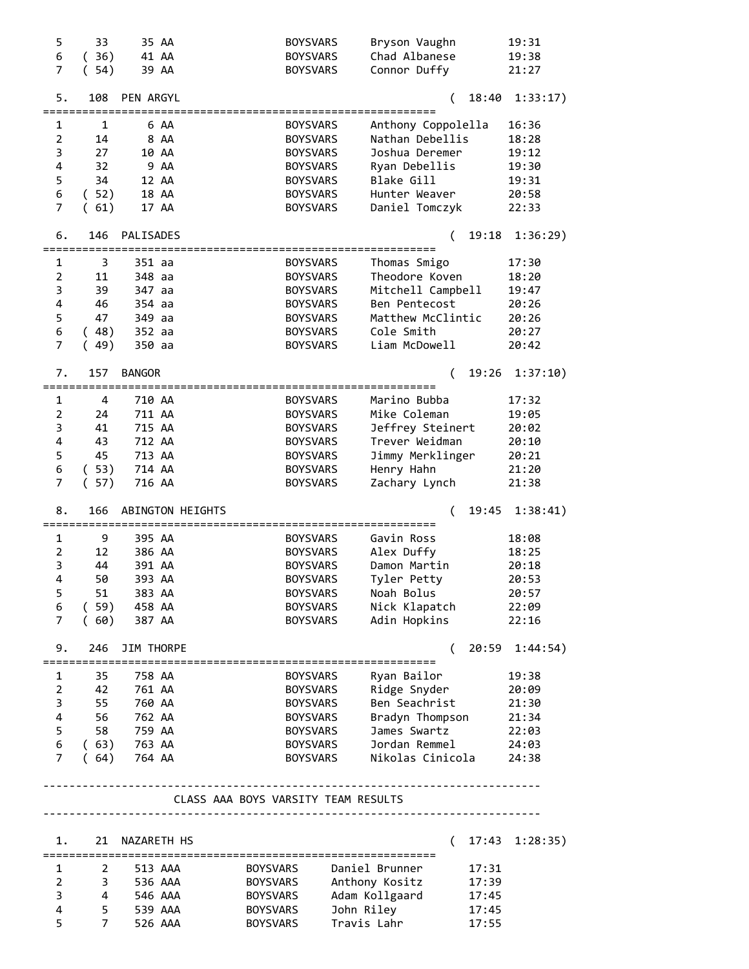| 5                       | 33               |               | 35 AA                     | <b>BOYSVARS</b>                     |                 | Bryson Vaughn      |          |       | 19:31    |
|-------------------------|------------------|---------------|---------------------------|-------------------------------------|-----------------|--------------------|----------|-------|----------|
| 6                       | (36)             |               | 41 AA                     | <b>BOYSVARS</b>                     |                 | Chad Albanese      |          |       | 19:38    |
| $\overline{7}$          | (54)             |               | 39 AA                     | <b>BOYSVARS</b>                     |                 | Connor Duffy       |          |       | 21:27    |
| 5.                      | 108              | PEN ARGYL     |                           |                                     |                 |                    | (        | 18:40 | 1:33:17) |
| 1                       | 1                |               | 6 AA                      | <b>BOYSVARS</b>                     |                 | Anthony Coppolella |          |       | 16:36    |
| $\overline{2}$          | 14               |               | 8 AA                      | <b>BOYSVARS</b>                     |                 | Nathan Debellis    |          |       | 18:28    |
| 3                       | 27               |               | 10 AA                     | <b>BOYSVARS</b>                     |                 | Joshua Deremer     |          |       | 19:12    |
| 4                       | 32               |               | 9 AA                      | <b>BOYSVARS</b>                     |                 | Ryan Debellis      |          |       | 19:30    |
| 5                       | 34               |               | 12 AA                     | <b>BOYSVARS</b>                     |                 | Blake Gill         |          |       | 19:31    |
| 6                       | (52)             |               | 18 AA                     | <b>BOYSVARS</b>                     |                 | Hunter Weaver      |          |       | 20:58    |
| $\overline{7}$          | (61)             |               | 17 AA                     | <b>BOYSVARS</b>                     |                 | Daniel Tomczyk     |          |       | 22:33    |
| 6.                      | 146              | PALISADES     |                           |                                     |                 |                    | (        | 19:18 | 1:36:29) |
| 1                       | 3                | 351 aa        |                           | <b>BOYSVARS</b>                     |                 | Thomas Smigo       |          |       | 17:30    |
| $\overline{2}$          | 11               | 348 aa        |                           | <b>BOYSVARS</b>                     |                 | Theodore Koven     |          |       | 18:20    |
| 3                       | 39               | 347 aa        |                           | <b>BOYSVARS</b>                     |                 | Mitchell Campbell  |          |       | 19:47    |
| 4                       | 46               | 354 aa        |                           | <b>BOYSVARS</b>                     |                 | Ben Pentecost      |          |       | 20:26    |
| 5                       | 47               | 349 aa        |                           | <b>BOYSVARS</b>                     |                 | Matthew McClintic  |          |       | 20:26    |
| 6                       |                  | 352 aa        |                           |                                     |                 | Cole Smith         |          |       |          |
| $\overline{7}$          | (48)             |               |                           | <b>BOYSVARS</b>                     |                 |                    |          |       | 20:27    |
|                         | (49)             | 350 aa        |                           | <b>BOYSVARS</b>                     |                 | Liam McDowell      |          |       | 20:42    |
| 7.                      | 157              | <b>BANGOR</b> | ========================= | =================================== |                 |                    | (        | 19:26 | 1:37:10) |
| 1                       | 4                | 710 AA        |                           | <b>BOYSVARS</b>                     |                 | Marino Bubba       |          |       | 17:32    |
| 2                       | 24               | 711 AA        |                           | <b>BOYSVARS</b>                     |                 | Mike Coleman       |          |       | 19:05    |
| 3                       | 41               | 715 AA        |                           | <b>BOYSVARS</b>                     |                 | Jeffrey Steinert   |          |       | 20:02    |
| 4                       | 43               | 712 AA        |                           | <b>BOYSVARS</b>                     |                 | Trever Weidman     |          |       | 20:10    |
| 5                       | 45               | 713 AA        |                           |                                     |                 |                    |          |       |          |
|                         |                  |               |                           | <b>BOYSVARS</b>                     |                 | Jimmy Merklinger   |          |       | 20:21    |
| 6                       | (53)             | 714 AA        |                           | <b>BOYSVARS</b>                     |                 | Henry Hahn         |          |       | 21:20    |
| $\overline{7}$          | (57)             | 716 AA        |                           | <b>BOYSVARS</b>                     |                 | Zachary Lynch      |          |       | 21:38    |
| 8.                      | 166              |               | ABINGTON HEIGHTS          |                                     |                 |                    | (        | 19:45 | 1:38:41) |
| 1                       | 9                | 395 AA        |                           | <b>BOYSVARS</b>                     |                 | Gavin Ross         |          |       | 18:08    |
| 2                       | 12               | 386 AA        |                           | <b>BOYSVARS</b>                     |                 | Alex Duffy         |          |       | 18:25    |
| 3                       | 44               | 391 AA        |                           | <b>BOYSVARS</b>                     |                 | Damon Martin       |          |       | 20:18    |
| $\overline{4}$          | 50               | 393 AA        |                           | <b>BOYSVARS</b>                     |                 | Tyler Petty        |          |       | 20:53    |
| 5                       | 51               | 383 AA        |                           | <b>BOYSVARS</b>                     |                 | Noah Bolus         |          |       | 20:57    |
| 6                       | (59)             | 458 AA        |                           | <b>BOYSVARS</b>                     |                 | Nick Klapatch      |          |       | 22:09    |
| 7                       | (60)             | 387 AA        |                           | <b>BOYSVARS</b>                     |                 | Adin Hopkins       |          |       | 22:16    |
|                         |                  |               |                           |                                     |                 |                    |          |       |          |
| 9.                      | 246              | JIM THORPE    |                           |                                     |                 |                    | (        | 20:59 | 1:44:54) |
| 1                       | 35               | 758 AA        |                           | <b>BOYSVARS</b>                     |                 | Ryan Bailor        |          |       | 19:38    |
| $\overline{2}$          | 42               | 761 AA        |                           | BOYSVARS                            |                 | Ridge Snyder       |          |       | 20:09    |
| 3                       | 55               | 760 AA        |                           | <b>BOYSVARS</b>                     |                 | Ben Seachrist      |          |       | 21:30    |
| 4                       | 56               | 762 AA        |                           | <b>BOYSVARS</b>                     |                 | Bradyn Thompson    |          |       | 21:34    |
| 5                       | 58               | 759 AA        |                           | BOYSVARS                            |                 | James Swartz       |          |       | 22:03    |
|                         |                  |               |                           |                                     |                 |                    |          |       |          |
| 6                       |                  | $(63)$ 763 AA |                           |                                     | BOYSVARS        | Jordan Remmel      |          |       | 24:03    |
| $\overline{7}$          | (64)             | 764 AA        |                           |                                     | <b>BOYSVARS</b> | Nikolas Cinicola   |          |       | 24:38    |
|                         |                  |               |                           | CLASS AAA BOYS VARSITY TEAM RESULTS |                 |                    |          |       |          |
|                         |                  |               |                           |                                     |                 |                    |          |       |          |
| 1.                      | 21<br>========== | NAZARETH HS   |                           |                                     |                 |                    | $\left($ | 17:43 | 1:28:35) |
| 1                       | $\overline{2}$   |               | 513 AAA                   | BOYSVARS                            |                 | Daniel Brunner     |          | 17:31 |          |
| 2                       | 3                |               | 536 AAA                   | BOYSVARS                            |                 | Anthony Kositz     |          | 17:39 |          |
| 3                       | 4                |               | 546 AAA                   | <b>BOYSVARS</b>                     |                 | Adam Kollgaard     |          | 17:45 |          |
| $\overline{\mathbf{4}}$ | 5                |               | 539 AAA                   | <b>BOYSVARS</b>                     |                 | John Riley         |          | 17:45 |          |
| 5                       | $\overline{7}$   |               | 526 AAA                   | <b>BOYSVARS</b>                     |                 | Travis Lahr        |          | 17:55 |          |